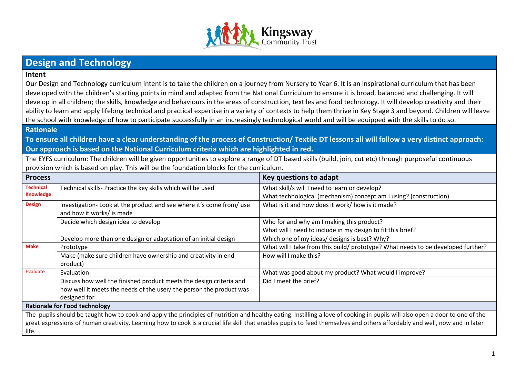

## **Design and Technology**

## **Intent**

Our Design and Technology curriculum intent is to take the children on a journey from Nursery to Year 6. It is an inspirational curriculum that has been developed with the children's starting points in mind and adapted from the National Curriculum to ensure it is broad, balanced and challenging. It will develop in all children; the skills, knowledge and behaviours in the areas of construction, textiles and food technology. It will develop creativity and their ability to learn and apply lifelong technical and practical expertise in a variety of contexts to help them thrive in Key Stage 3 and beyond. Children will leave the school with knowledge of how to participate successfully in an increasingly technological world and will be equipped with the skills to do so.

## **Rationale**

**To ensure all children have a clear understanding of the process of Construction/ Textile DT lessons all will follow a very distinct approach: Our approach is based on the National Curriculum criteria which are highlighted in red.** 

The EYFS curriculum: The children will be given opportunities to explore a range of DT based skills (build, join, cut etc) through purposeful continuous provision which is based on play. This will be the foundation blocks for the curriculum.

| <b>Process</b>   |                                                                           | Key questions to adapt                                                                                                                                                       |
|------------------|---------------------------------------------------------------------------|------------------------------------------------------------------------------------------------------------------------------------------------------------------------------|
| <b>Technical</b> | Technical skills- Practice the key skills which will be used              | What skill/s will I need to learn or develop?                                                                                                                                |
| <b>Knowledge</b> |                                                                           | What technological (mechanism) concept am I using? (construction)                                                                                                            |
| <b>Design</b>    | Investigation-Look at the product and see where it's come from/use        | What is it and how does it work/ how is it made?                                                                                                                             |
|                  | and how it works/ is made                                                 |                                                                                                                                                                              |
|                  | Decide which design idea to develop                                       | Who for and why am I making this product?                                                                                                                                    |
|                  |                                                                           | What will I need to include in my design to fit this brief?                                                                                                                  |
|                  | Develop more than one design or adaptation of an initial design           | Which one of my ideas/ designs is best? Why?                                                                                                                                 |
| <b>Make</b>      | Prototype                                                                 | What will I take from this build/ prototype? What needs to be developed further?                                                                                             |
|                  | Make (make sure children have ownership and creativity in end<br>product) | How will I make this?                                                                                                                                                        |
| Evaluate         | Evaluation                                                                | What was good about my product? What would I improve?                                                                                                                        |
|                  | Discuss how well the finished product meets the design criteria and       | Did I meet the brief?                                                                                                                                                        |
|                  | how well it meets the needs of the user/ the person the product was       |                                                                                                                                                                              |
|                  | designed for                                                              |                                                                                                                                                                              |
|                  | <b>Rationale for Food technology</b>                                      |                                                                                                                                                                              |
|                  |                                                                           | The pupils should be taught how to cook and apply the principles of nutrition and healthy eating. Instilling a love of cooking in pupils will also open a door to one of the |
|                  |                                                                           | great expressions of human creativity. Learning how to cook is a crucial life skill that enables pupils to feed themselves and others affordably and well, now and in later  |
| life.            |                                                                           |                                                                                                                                                                              |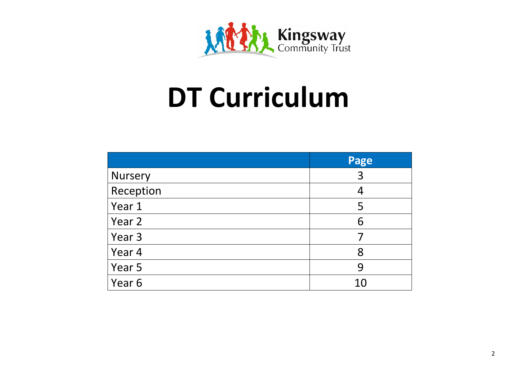

## **DT Curriculum**

|           | Page |
|-----------|------|
| Nursery   | 3    |
| Reception | 4    |
| Year 1    | 5    |
| Year 2    | 6    |
| Year 3    |      |
| Year 4    | 8    |
| Year 5    | 9    |
| Year 6    | 10   |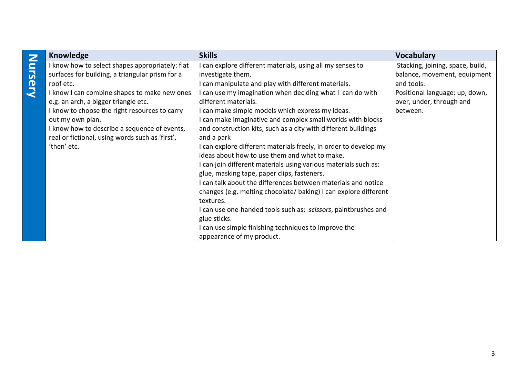| t |
|---|
|   |
|   |

| Knowledge                                       | <b>Skills</b>                                                    | <b>Vocabulary</b>                |
|-------------------------------------------------|------------------------------------------------------------------|----------------------------------|
| I know how to select shapes appropriately: flat | can explore different materials, using all my senses to          | Stacking, joining, space, build, |
| surfaces for building, a triangular prism for a | investigate them.                                                | balance, movement, equipment     |
| roof etc.                                       | can manipulate and play with different materials.                | and tools.                       |
| I know I can combine shapes to make new ones    | can use my imagination when deciding what I can do with          | Positional language: up, down,   |
| e.g. an arch, a bigger triangle etc.            | different materials.                                             | over, under, through and         |
| I know to choose the right resources to carry   | I can make simple models which express my ideas.                 | between.                         |
| out my own plan.                                | I can make imaginative and complex small worlds with blocks      |                                  |
| I know how to describe a sequence of events,    | and construction kits, such as a city with different buildings   |                                  |
| real or fictional, using words such as 'first', | and a park                                                       |                                  |
| 'then' etc.                                     | can explore different materials freely, in order to develop my   |                                  |
|                                                 | ideas about how to use them and what to make.                    |                                  |
|                                                 | I can join different materials using various materials such as:  |                                  |
|                                                 | glue, masking tape, paper clips, fasteners.                      |                                  |
|                                                 | I can talk about the differences between materials and notice    |                                  |
|                                                 | changes (e.g. melting chocolate/ baking) I can explore different |                                  |
|                                                 | textures.                                                        |                                  |
|                                                 | I can use one-handed tools such as: scissors, paintbrushes and   |                                  |
|                                                 | glue sticks.                                                     |                                  |
|                                                 | I can use simple finishing techniques to improve the             |                                  |
|                                                 | appearance of my product.                                        |                                  |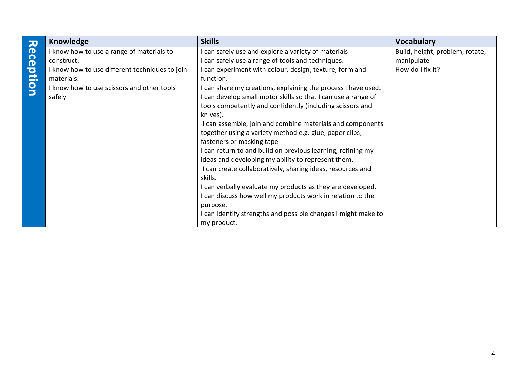|           | <b>Knowledge</b>                               | <b>Skills</b>                                                 | <b>Vocabulary</b>               |
|-----------|------------------------------------------------|---------------------------------------------------------------|---------------------------------|
| Reception | I know how to use a range of materials to      | I can safely use and explore a variety of materials           | Build, height, problem, rotate, |
|           | construct.                                     | I can safely use a range of tools and techniques.             | manipulate                      |
|           | I know how to use different techniques to join | I can experiment with colour, design, texture, form and       | How do I fix it?                |
|           | materials.                                     | function.                                                     |                                 |
|           | I know how to use scissors and other tools     | I can share my creations, explaining the process I have used. |                                 |
|           | safely                                         | I can develop small motor skills so that I can use a range of |                                 |
|           |                                                | tools competently and confidently (including scissors and     |                                 |
|           |                                                | knives).                                                      |                                 |
|           |                                                | I can assemble, join and combine materials and components     |                                 |
|           |                                                | together using a variety method e.g. glue, paper clips,       |                                 |
|           |                                                | fasteners or masking tape                                     |                                 |
|           |                                                | I can return to and build on previous learning, refining my   |                                 |
|           |                                                | ideas and developing my ability to represent them.            |                                 |
|           |                                                | I can create collaboratively, sharing ideas, resources and    |                                 |
|           |                                                | skills.                                                       |                                 |
|           |                                                | I can verbally evaluate my products as they are developed.    |                                 |
|           |                                                | I can discuss how well my products work in relation to the    |                                 |
|           |                                                | purpose.                                                      |                                 |
|           |                                                | I can identify strengths and possible changes I might make to |                                 |
|           |                                                | my product.                                                   |                                 |

l.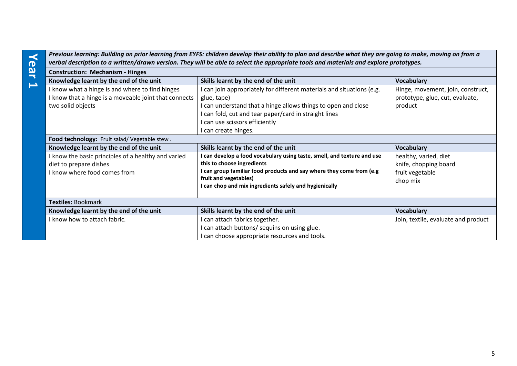| Previous learning: Building on prior learning from EYFS: children develop their ability to plan and describe what they are going to make, moving on from a<br>verbal description to a written/drawn version. They will be able to select the appropriate tools and materials and explore prototypes. |                                                                                                                                                                                                                                                                      |                                                                                 |
|------------------------------------------------------------------------------------------------------------------------------------------------------------------------------------------------------------------------------------------------------------------------------------------------------|----------------------------------------------------------------------------------------------------------------------------------------------------------------------------------------------------------------------------------------------------------------------|---------------------------------------------------------------------------------|
| <b>Construction: Mechanism - Hinges</b>                                                                                                                                                                                                                                                              |                                                                                                                                                                                                                                                                      |                                                                                 |
| Knowledge learnt by the end of the unit                                                                                                                                                                                                                                                              | Skills learnt by the end of the unit                                                                                                                                                                                                                                 | <b>Vocabulary</b>                                                               |
| I know what a hinge is and where to find hinges<br>I know that a hinge is a moveable joint that connects<br>two solid objects                                                                                                                                                                        | I can join appropriately for different materials and situations (e.g.<br>glue, tape)<br>I can understand that a hinge allows things to open and close<br>can fold, cut and tear paper/card in straight lines<br>can use scissors efficiently<br>I can create hinges. | Hinge, movement, join, construct,<br>prototype, glue, cut, evaluate,<br>product |
| Food technology: Fruit salad/ Vegetable stew.                                                                                                                                                                                                                                                        |                                                                                                                                                                                                                                                                      |                                                                                 |
| Knowledge learnt by the end of the unit                                                                                                                                                                                                                                                              | Skills learnt by the end of the unit                                                                                                                                                                                                                                 | <b>Vocabulary</b>                                                               |
| I know the basic principles of a healthy and varied<br>diet to prepare dishes<br>I know where food comes from                                                                                                                                                                                        | I can develop a food vocabulary using taste, smell, and texture and use<br>this to choose ingredients<br>I can group familiar food products and say where they come from (e.g<br>fruit and vegetables)<br>I can chop and mix ingredients safely and hygienically     | healthy, varied, diet<br>knife, chopping board<br>fruit vegetable<br>chop mix   |
| <b>Textiles: Bookmark</b>                                                                                                                                                                                                                                                                            |                                                                                                                                                                                                                                                                      |                                                                                 |
| Knowledge learnt by the end of the unit                                                                                                                                                                                                                                                              | Skills learnt by the end of the unit                                                                                                                                                                                                                                 | <b>Vocabulary</b>                                                               |
| I know how to attach fabric.                                                                                                                                                                                                                                                                         | can attach fabrics together.<br>I can attach buttons/ sequins on using glue.<br>I can choose appropriate resources and tools.                                                                                                                                        | Join, textile, evaluate and product                                             |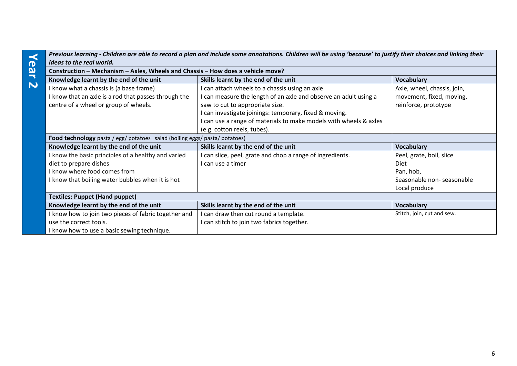| Yea                   | Previous learning - Children are able to record a plan and include some annotations. Children will be using 'because' to justify their choices and linking their<br>ideas to the real world. |                                                                   |                             |
|-----------------------|----------------------------------------------------------------------------------------------------------------------------------------------------------------------------------------------|-------------------------------------------------------------------|-----------------------------|
|                       | Construction - Mechanism - Axles, Wheels and Chassis - How does a vehicle move?                                                                                                              |                                                                   |                             |
| $\blacktriangleright$ | Knowledge learnt by the end of the unit                                                                                                                                                      | Skills learnt by the end of the unit                              | <b>Vocabulary</b>           |
| $\mathbf{N}$          | I know what a chassis is (a base frame)                                                                                                                                                      | I can attach wheels to a chassis using an axle                    | Axle, wheel, chassis, join, |
|                       | I know that an axle is a rod that passes through the                                                                                                                                         | I can measure the length of an axle and observe an adult using a  | movement, fixed, moving,    |
|                       | centre of a wheel or group of wheels.                                                                                                                                                        | saw to cut to appropriate size.                                   | reinforce, prototype        |
|                       |                                                                                                                                                                                              | I can investigate joinings: temporary, fixed & moving.            |                             |
|                       |                                                                                                                                                                                              | I can use a range of materials to make models with wheels & axles |                             |
|                       |                                                                                                                                                                                              | (e.g. cotton reels, tubes).                                       |                             |
|                       | Food technology pasta / egg/ potatoes salad (boiling eggs/ pasta/ potatoes)                                                                                                                  |                                                                   |                             |
|                       | Knowledge learnt by the end of the unit                                                                                                                                                      | Skills learnt by the end of the unit                              | <b>Vocabulary</b>           |
|                       | I know the basic principles of a healthy and varied                                                                                                                                          | I can slice, peel, grate and chop a range of ingredients.         | Peel, grate, boil, slice    |
|                       | diet to prepare dishes                                                                                                                                                                       | I can use a timer                                                 | Diet                        |
|                       | I know where food comes from                                                                                                                                                                 |                                                                   | Pan, hob,                   |
|                       | I know that boiling water bubbles when it is hot                                                                                                                                             |                                                                   | Seasonable non-seasonable   |
|                       |                                                                                                                                                                                              |                                                                   | Local produce               |
|                       | <b>Textiles: Puppet (Hand puppet)</b>                                                                                                                                                        |                                                                   |                             |
|                       | Knowledge learnt by the end of the unit                                                                                                                                                      | Skills learnt by the end of the unit                              | <b>Vocabulary</b>           |
|                       | I know how to join two pieces of fabric together and                                                                                                                                         | I can draw then cut round a template.                             | Stitch, join, cut and sew.  |
|                       | use the correct tools.                                                                                                                                                                       | I can stitch to join two fabrics together.                        |                             |
|                       | I know how to use a basic sewing technique.                                                                                                                                                  |                                                                   |                             |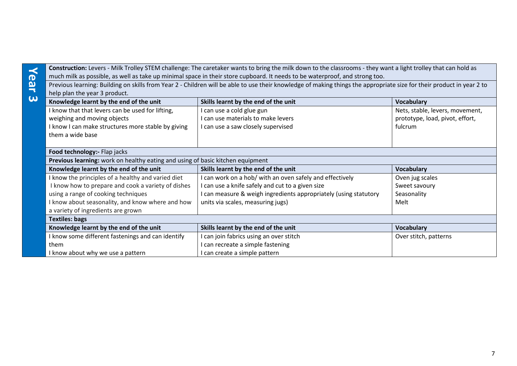|                                                                                                                                                                                                                                                                                                      | Construction: Levers - Milk Trolley STEM challenge: The caretaker wants to bring the milk down to the classrooms - they want a light trolley that can hold as |                                 |                               |
|------------------------------------------------------------------------------------------------------------------------------------------------------------------------------------------------------------------------------------------------------------------------------------------------------|---------------------------------------------------------------------------------------------------------------------------------------------------------------|---------------------------------|-------------------------------|
| much milk as possible, as well as take up minimal space in their store cupboard. It needs to be waterproof, and strong too.<br>Previous learning: Building on skills from Year 2 - Children will be able to use their knowledge of making things the appropriate size for their product in year 2 to |                                                                                                                                                               |                                 |                               |
|                                                                                                                                                                                                                                                                                                      |                                                                                                                                                               |                                 | help plan the year 3 product. |
| Knowledge learnt by the end of the unit                                                                                                                                                                                                                                                              | Skills learnt by the end of the unit                                                                                                                          | <b>Vocabulary</b>               |                               |
| I know that that levers can be used for lifting,                                                                                                                                                                                                                                                     | I can use a cold glue gun                                                                                                                                     | Nets, stable, levers, movement, |                               |
| weighing and moving objects                                                                                                                                                                                                                                                                          | I can use materials to make levers                                                                                                                            | prototype, load, pivot, effort, |                               |
| I know I can make structures more stable by giving                                                                                                                                                                                                                                                   | I can use a saw closely supervised                                                                                                                            | fulcrum                         |                               |
| them a wide base                                                                                                                                                                                                                                                                                     |                                                                                                                                                               |                                 |                               |
| Food technology:- Flap jacks                                                                                                                                                                                                                                                                         |                                                                                                                                                               |                                 |                               |
|                                                                                                                                                                                                                                                                                                      | Previous learning: work on healthy eating and using of basic kitchen equipment                                                                                |                                 |                               |
| Knowledge learnt by the end of the unit                                                                                                                                                                                                                                                              | Skills learnt by the end of the unit                                                                                                                          | <b>Vocabulary</b>               |                               |
| I know the principles of a healthy and varied diet                                                                                                                                                                                                                                                   | I can work on a hob/ with an oven safely and effectively                                                                                                      | Oven jug scales                 |                               |
| I know how to prepare and cook a variety of dishes                                                                                                                                                                                                                                                   | I can use a knife safely and cut to a given size                                                                                                              | Sweet savoury                   |                               |
| using a range of cooking techniques                                                                                                                                                                                                                                                                  | I can measure & weigh ingredients appropriately (using statutory                                                                                              | Seasonality                     |                               |
| I know about seasonality, and know where and how                                                                                                                                                                                                                                                     | units via scales, measuring jugs)                                                                                                                             | Melt                            |                               |
| a variety of ingredients are grown                                                                                                                                                                                                                                                                   |                                                                                                                                                               |                                 |                               |
| <b>Textiles: bags</b>                                                                                                                                                                                                                                                                                |                                                                                                                                                               |                                 |                               |
| Knowledge learnt by the end of the unit                                                                                                                                                                                                                                                              | Skills learnt by the end of the unit                                                                                                                          | <b>Vocabulary</b>               |                               |
| I know some different fastenings and can identify                                                                                                                                                                                                                                                    | I can join fabrics using an over stitch                                                                                                                       | Over stitch, patterns           |                               |
| them                                                                                                                                                                                                                                                                                                 | I can recreate a simple fastening                                                                                                                             |                                 |                               |
| I know about why we use a pattern                                                                                                                                                                                                                                                                    | I can create a simple pattern                                                                                                                                 |                                 |                               |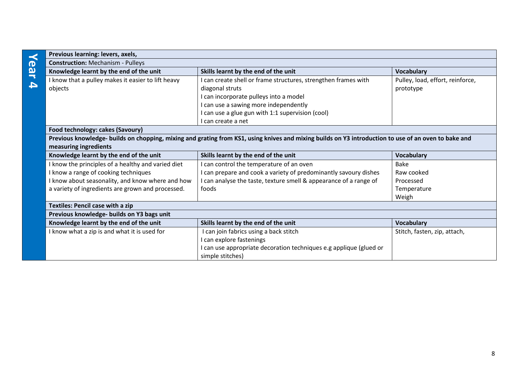| Previous learning: levers, axels,                                                                                                                    |                                                                    |                                  |  |
|------------------------------------------------------------------------------------------------------------------------------------------------------|--------------------------------------------------------------------|----------------------------------|--|
| <b>Construction: Mechanism - Pulleys</b>                                                                                                             |                                                                    |                                  |  |
| Knowledge learnt by the end of the unit                                                                                                              | Skills learnt by the end of the unit                               | <b>Vocabulary</b>                |  |
| I know that a pulley makes it easier to lift heavy                                                                                                   | I can create shell or frame structures, strengthen frames with     | Pulley, load, effort, reinforce, |  |
| objects                                                                                                                                              | diagonal struts                                                    | prototype                        |  |
|                                                                                                                                                      | I can incorporate pulleys into a model                             |                                  |  |
|                                                                                                                                                      | I can use a sawing more independently                              |                                  |  |
|                                                                                                                                                      | I can use a glue gun with 1:1 supervision (cool)                   |                                  |  |
|                                                                                                                                                      | I can create a net                                                 |                                  |  |
| Food technology: cakes (Savoury)                                                                                                                     |                                                                    |                                  |  |
| Previous knowledge- builds on chopping, mixing and grating from KS1, using knives and mixing builds on Y3 introduction to use of an oven to bake and |                                                                    |                                  |  |
| measuring ingredients                                                                                                                                |                                                                    |                                  |  |
| Knowledge learnt by the end of the unit                                                                                                              | Skills learnt by the end of the unit                               | <b>Vocabulary</b>                |  |
| I know the principles of a healthy and varied diet                                                                                                   | I can control the temperature of an oven                           | <b>Bake</b>                      |  |
| I know a range of cooking techniques                                                                                                                 | I can prepare and cook a variety of predominantly savoury dishes   | Raw cooked                       |  |
| I know about seasonality, and know where and how                                                                                                     | I can analyse the taste, texture smell & appearance of a range of  | Processed                        |  |
| a variety of ingredients are grown and processed.                                                                                                    | foods                                                              | Temperature                      |  |
|                                                                                                                                                      |                                                                    | Weigh                            |  |
| <b>Textiles: Pencil case with a zip</b>                                                                                                              |                                                                    |                                  |  |
| Previous knowledge- builds on Y3 bags unit                                                                                                           |                                                                    |                                  |  |
| Knowledge learnt by the end of the unit                                                                                                              | Skills learnt by the end of the unit                               | <b>Vocabulary</b>                |  |
| I know what a zip is and what it is used for                                                                                                         | I can join fabrics using a back stitch                             | Stitch, fasten, zip, attach,     |  |
|                                                                                                                                                      | I can explore fastenings                                           |                                  |  |
|                                                                                                                                                      | I can use appropriate decoration techniques e.g applique (glued or |                                  |  |
|                                                                                                                                                      | simple stitches)                                                   |                                  |  |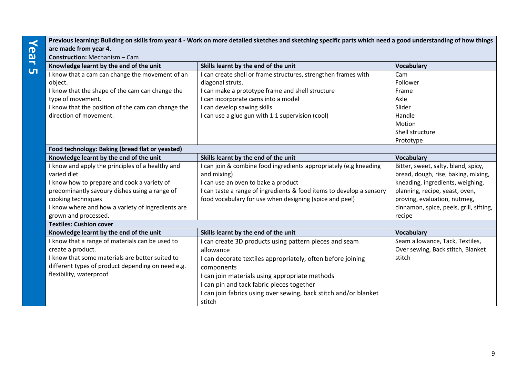|           | are made from year 4.                                                                                                                                                                                                                                              | Previous learning: Building on skills from year 4 - Work on more detailed sketches and sketching specific parts which need a good understanding of how things                                                                                                                                                                 |                                                                                                                                                                                                                                       |  |
|-----------|--------------------------------------------------------------------------------------------------------------------------------------------------------------------------------------------------------------------------------------------------------------------|-------------------------------------------------------------------------------------------------------------------------------------------------------------------------------------------------------------------------------------------------------------------------------------------------------------------------------|---------------------------------------------------------------------------------------------------------------------------------------------------------------------------------------------------------------------------------------|--|
| Year      | <b>Construction:</b> Mechanism - Cam                                                                                                                                                                                                                               |                                                                                                                                                                                                                                                                                                                               |                                                                                                                                                                                                                                       |  |
|           | Knowledge learnt by the end of the unit                                                                                                                                                                                                                            | Skills learnt by the end of the unit                                                                                                                                                                                                                                                                                          | <b>Vocabulary</b>                                                                                                                                                                                                                     |  |
| <b>UT</b> | I know that a cam can change the movement of an<br>object.<br>I know that the shape of the cam can change the<br>type of movement.<br>I know that the position of the cam can change the<br>direction of movement.                                                 | I can create shell or frame structures, strengthen frames with<br>diagonal struts.<br>I can make a prototype frame and shell structure<br>I can incorporate cams into a model<br>I can develop sawing skills<br>I can use a glue gun with 1:1 supervision (cool)                                                              | Cam<br>Follower<br>Frame<br>Axle<br>Slider<br>Handle<br>Motion<br>Shell structure                                                                                                                                                     |  |
|           |                                                                                                                                                                                                                                                                    |                                                                                                                                                                                                                                                                                                                               | Prototype                                                                                                                                                                                                                             |  |
|           | Food technology: Baking (bread flat or yeasted)                                                                                                                                                                                                                    |                                                                                                                                                                                                                                                                                                                               |                                                                                                                                                                                                                                       |  |
|           | Knowledge learnt by the end of the unit                                                                                                                                                                                                                            | Skills learnt by the end of the unit                                                                                                                                                                                                                                                                                          | <b>Vocabulary</b>                                                                                                                                                                                                                     |  |
|           | I know and apply the principles of a healthy and<br>varied diet<br>I know how to prepare and cook a variety of<br>predominantly savoury dishes using a range of<br>cooking techniques<br>I know where and how a variety of ingredients are<br>grown and processed. | I can join & combine food ingredients appropriately (e.g kneading<br>and mixing)<br>I can use an oven to bake a product<br>I can taste a range of ingredients & food items to develop a sensory<br>food vocabulary for use when designing (spice and peel)                                                                    | Bitter, sweet, salty, bland, spicy,<br>bread, dough, rise, baking, mixing,<br>kneading, ingredients, weighing,<br>planning, recipe, yeast, oven,<br>proving, evaluation, nutmeg,<br>cinnamon, spice, peels, grill, sifting,<br>recipe |  |
|           | <b>Textiles: Cushion cover</b>                                                                                                                                                                                                                                     |                                                                                                                                                                                                                                                                                                                               |                                                                                                                                                                                                                                       |  |
|           | Knowledge learnt by the end of the unit                                                                                                                                                                                                                            | Skills learnt by the end of the unit                                                                                                                                                                                                                                                                                          | <b>Vocabulary</b>                                                                                                                                                                                                                     |  |
|           | I know that a range of materials can be used to<br>create a product.<br>I know that some materials are better suited to<br>different types of product depending on need e.g.<br>flexibility, waterproof                                                            | I can create 3D products using pattern pieces and seam<br>allowance<br>I can decorate textiles appropriately, often before joining<br>components<br>I can join materials using appropriate methods<br>I can pin and tack fabric pieces together<br>I can join fabrics using over sewing, back stitch and/or blanket<br>stitch | Seam allowance, Tack, Textiles,<br>Over sewing, Back stitch, Blanket<br>stitch                                                                                                                                                        |  |